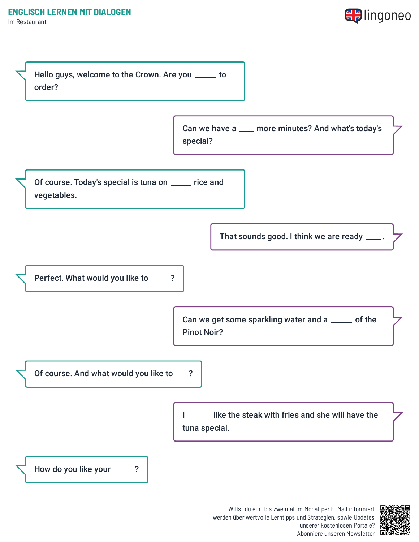Im Restaurant